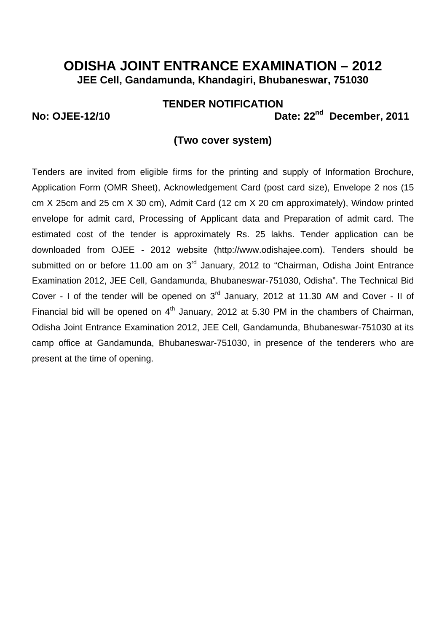### **TENDER NOTIFICATION**

**No: OJEE-12/10 Date: 22<sup>nd</sup> December, 2011** 

### **(Two cover system)**

Tenders are invited from eligible firms for the printing and supply of Information Brochure, Application Form (OMR Sheet), Acknowledgement Card (post card size), Envelope 2 nos (15 cm X 25cm and 25 cm X 30 cm), Admit Card (12 cm X 20 cm approximately), Window printed envelope for admit card, Processing of Applicant data and Preparation of admit card. The estimated cost of the tender is approximately Rs. 25 lakhs. Tender application can be downloaded from OJEE - 2012 website (http://www.odishajee.com). Tenders should be submitted on or before 11.00 am on 3<sup>rd</sup> January, 2012 to "Chairman, Odisha Joint Entrance Examination 2012, JEE Cell, Gandamunda, Bhubaneswar-751030, Odisha". The Technical Bid Cover - I of the tender will be opened on 3rd January, 2012 at 11.30 AM and Cover - II of Financial bid will be opened on  $4<sup>th</sup>$  January, 2012 at 5.30 PM in the chambers of Chairman, Odisha Joint Entrance Examination 2012, JEE Cell, Gandamunda, Bhubaneswar-751030 at its camp office at Gandamunda, Bhubaneswar-751030, in presence of the tenderers who are present at the time of opening.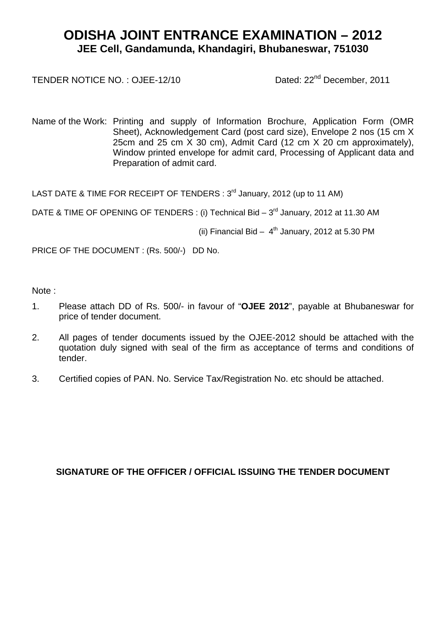TENDER NOTICE NO.: OJEE-12/10 Dated: 22<sup>nd</sup> December, 2011

Name of the Work: Printing and supply of Information Brochure, Application Form (OMR Sheet), Acknowledgement Card (post card size), Envelope 2 nos (15 cm X 25cm and 25 cm X 30 cm), Admit Card (12 cm X 20 cm approximately), Window printed envelope for admit card, Processing of Applicant data and Preparation of admit card.

LAST DATE & TIME FOR RECEIPT OF TENDERS : 3<sup>rd</sup> January, 2012 (up to 11 AM)

DATE & TIME OF OPENING OF TENDERS : (i) Technical Bid - 3<sup>rd</sup> January, 2012 at 11.30 AM

(ii) Financial Bid  $-4$ <sup>th</sup> January, 2012 at 5.30 PM

PRICE OF THE DOCUMENT : (Rs. 500/-) DD No.

Note :

- 1. Please attach DD of Rs. 500/- in favour of "**OJEE 2012**", payable at Bhubaneswar for price of tender document.
- 2. All pages of tender documents issued by the OJEE-2012 should be attached with the quotation duly signed with seal of the firm as acceptance of terms and conditions of tender.
- 3. Certified copies of PAN. No. Service Tax/Registration No. etc should be attached.

### **SIGNATURE OF THE OFFICER / OFFICIAL ISSUING THE TENDER DOCUMENT**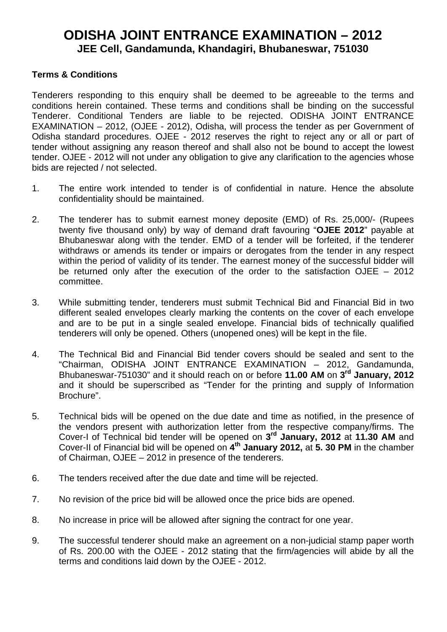### **Terms & Conditions**

Tenderers responding to this enquiry shall be deemed to be agreeable to the terms and conditions herein contained. These terms and conditions shall be binding on the successful Tenderer. Conditional Tenders are liable to be rejected. ODISHA JOINT ENTRANCE EXAMINATION – 2012, (OJEE - 2012), Odisha, will process the tender as per Government of Odisha standard procedures. OJEE - 2012 reserves the right to reject any or all or part of tender without assigning any reason thereof and shall also not be bound to accept the lowest tender. OJEE - 2012 will not under any obligation to give any clarification to the agencies whose bids are rejected / not selected.

- 1. The entire work intended to tender is of confidential in nature. Hence the absolute confidentiality should be maintained.
- 2. The tenderer has to submit earnest money deposite (EMD) of Rs. 25,000/- (Rupees twenty five thousand only) by way of demand draft favouring "**OJEE 2012**" payable at Bhubaneswar along with the tender. EMD of a tender will be forfeited, if the tenderer withdraws or amends its tender or impairs or derogates from the tender in any respect within the period of validity of its tender. The earnest money of the successful bidder will be returned only after the execution of the order to the satisfaction OJEE – 2012 committee.
- 3. While submitting tender, tenderers must submit Technical Bid and Financial Bid in two different sealed envelopes clearly marking the contents on the cover of each envelope and are to be put in a single sealed envelope. Financial bids of technically qualified tenderers will only be opened. Others (unopened ones) will be kept in the file.
- 4. The Technical Bid and Financial Bid tender covers should be sealed and sent to the "Chairman, ODISHA JOINT ENTRANCE EXAMINATION – 2012, Gandamunda, Bhubaneswar-751030" and it should reach on or before **11.00 AM** on **3rd January, 2012** and it should be superscribed as "Tender for the printing and supply of Information Brochure".
- 5. Technical bids will be opened on the due date and time as notified, in the presence of the vendors present with authorization letter from the respective company/firms. The Cover-I of Technical bid tender will be opened on **3rd January, 2012** at **11.30 AM** and Cover-II of Financial bid will be opened on **4th January 2012,** at **5. 30 PM** in the chamber of Chairman, OJEE – 2012 in presence of the tenderers.
- 6. The tenders received after the due date and time will be rejected.
- 7. No revision of the price bid will be allowed once the price bids are opened.
- 8. No increase in price will be allowed after signing the contract for one year.
- 9. The successful tenderer should make an agreement on a non-judicial stamp paper worth of Rs. 200.00 with the OJEE - 2012 stating that the firm/agencies will abide by all the terms and conditions laid down by the OJEE - 2012.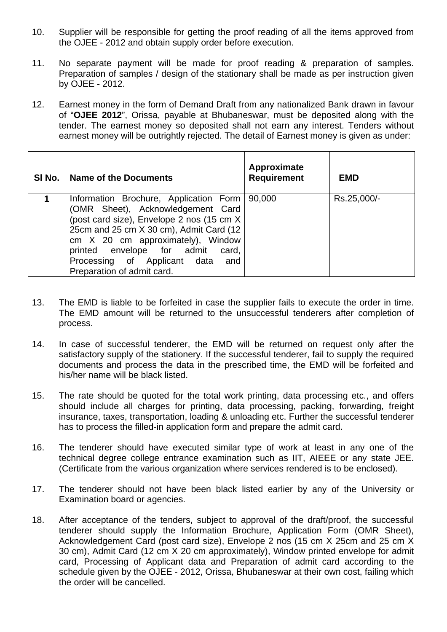- 10. Supplier will be responsible for getting the proof reading of all the items approved from the OJEE - 2012 and obtain supply order before execution.
- 11. No separate payment will be made for proof reading & preparation of samples. Preparation of samples / design of the stationary shall be made as per instruction given by OJEE - 2012.
- 12. Earnest money in the form of Demand Draft from any nationalized Bank drawn in favour of "**OJEE 2012**", Orissa, payable at Bhubaneswar, must be deposited along with the tender. The earnest money so deposited shall not earn any interest. Tenders without earnest money will be outrightly rejected. The detail of Earnest money is given as under:

| SI No. | <b>Name of the Documents</b>                                                                                                                                                                                                                                                                                      | Approximate<br><b>Requirement</b> | <b>EMD</b>  |
|--------|-------------------------------------------------------------------------------------------------------------------------------------------------------------------------------------------------------------------------------------------------------------------------------------------------------------------|-----------------------------------|-------------|
|        | Information Brochure, Application Form  <br>(OMR Sheet), Acknowledgement Card<br>(post card size), Envelope 2 nos (15 cm X)<br>25cm and 25 cm X 30 cm), Admit Card (12<br>cm X 20 cm approximately), Window<br>printed envelope for admit card,<br>Processing of Applicant data and<br>Preparation of admit card. | 90,000                            | Rs.25,000/- |

- 13. The EMD is liable to be forfeited in case the supplier fails to execute the order in time. The EMD amount will be returned to the unsuccessful tenderers after completion of process.
- 14. In case of successful tenderer, the EMD will be returned on request only after the satisfactory supply of the stationery. If the successful tenderer, fail to supply the required documents and process the data in the prescribed time, the EMD will be forfeited and his/her name will be black listed.
- 15. The rate should be quoted for the total work printing, data processing etc., and offers should include all charges for printing, data processing, packing, forwarding, freight insurance, taxes, transportation, loading & unloading etc. Further the successful tenderer has to process the filled-in application form and prepare the admit card.
- 16. The tenderer should have executed similar type of work at least in any one of the technical degree college entrance examination such as IIT, AIEEE or any state JEE. (Certificate from the various organization where services rendered is to be enclosed).
- 17. The tenderer should not have been black listed earlier by any of the University or Examination board or agencies.
- 18. After acceptance of the tenders, subject to approval of the draft/proof, the successful tenderer should supply the Information Brochure, Application Form (OMR Sheet), Acknowledgement Card (post card size), Envelope 2 nos (15 cm X 25cm and 25 cm X 30 cm), Admit Card (12 cm X 20 cm approximately), Window printed envelope for admit card, Processing of Applicant data and Preparation of admit card according to the schedule given by the OJEE - 2012, Orissa, Bhubaneswar at their own cost, failing which the order will be cancelled.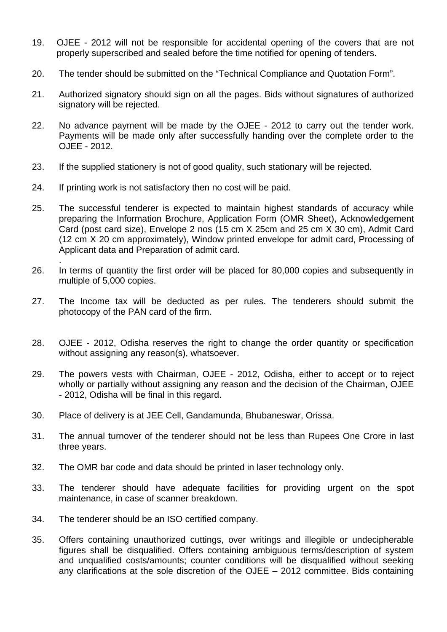- 19. OJEE 2012 will not be responsible for accidental opening of the covers that are not properly superscribed and sealed before the time notified for opening of tenders.
- 20. The tender should be submitted on the "Technical Compliance and Quotation Form".
- 21. Authorized signatory should sign on all the pages. Bids without signatures of authorized signatory will be rejected.
- 22. No advance payment will be made by the OJEE 2012 to carry out the tender work. Payments will be made only after successfully handing over the complete order to the OJEE - 2012.
- 23. If the supplied stationery is not of good quality, such stationary will be rejected.
- 24. If printing work is not satisfactory then no cost will be paid.

.

- 25. The successful tenderer is expected to maintain highest standards of accuracy while preparing the Information Brochure, Application Form (OMR Sheet), Acknowledgement Card (post card size), Envelope 2 nos (15 cm X 25cm and 25 cm X 30 cm), Admit Card (12 cm X 20 cm approximately), Window printed envelope for admit card, Processing of Applicant data and Preparation of admit card.
- 26. In terms of quantity the first order will be placed for 80,000 copies and subsequently in multiple of 5,000 copies.
- 27. The Income tax will be deducted as per rules. The tenderers should submit the photocopy of the PAN card of the firm.
- 28. OJEE 2012, Odisha reserves the right to change the order quantity or specification without assigning any reason(s), whatsoever.
- 29. The powers vests with Chairman, OJEE 2012, Odisha, either to accept or to reject wholly or partially without assigning any reason and the decision of the Chairman, OJEE - 2012, Odisha will be final in this regard.
- 30. Place of delivery is at JEE Cell, Gandamunda, Bhubaneswar, Orissa.
- 31. The annual turnover of the tenderer should not be less than Rupees One Crore in last three years.
- 32. The OMR bar code and data should be printed in laser technology only.
- 33. The tenderer should have adequate facilities for providing urgent on the spot maintenance, in case of scanner breakdown.
- 34. The tenderer should be an ISO certified company.
- 35. Offers containing unauthorized cuttings, over writings and illegible or undecipherable figures shall be disqualified. Offers containing ambiguous terms/description of system and unqualified costs/amounts; counter conditions will be disqualified without seeking any clarifications at the sole discretion of the OJEE – 2012 committee. Bids containing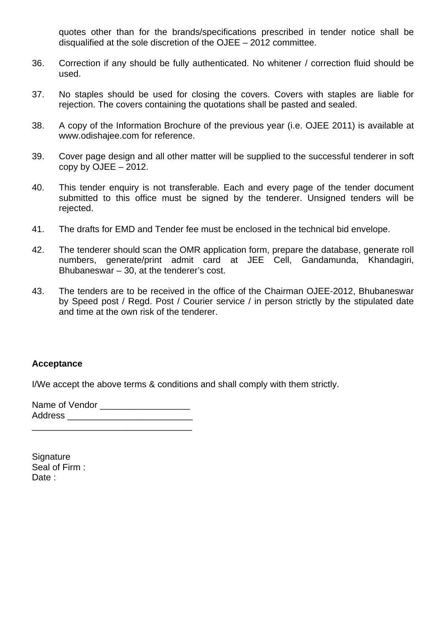quotes other than for the brands/specifications prescribed in tender notice shall be disqualified at the sole discretion of the OJEE – 2012 committee.

- 36. Correction if any should be fully authenticated. No whitener / correction fluid should be used.
- 37. No staples should be used for closing the covers. Covers with staples are liable for rejection. The covers containing the quotations shall be pasted and sealed.
- 38. A copy of the Information Brochure of the previous year (i.e. OJEE 2011) is available at www.odishajee.com for reference.
- 39. Cover page design and all other matter will be supplied to the successful tenderer in soft copy by  $OJEE - 2012$ .
- 40. This tender enquiry is not transferable. Each and every page of the tender document submitted to this office must be signed by the tenderer. Unsigned tenders will be rejected.
- 41. The drafts for EMD and Tender fee must be enclosed in the technical bid envelope.
- 42. The tenderer should scan the OMR application form, prepare the database, generate roll numbers, generate/print admit card at JEE Cell, Gandamunda, Khandagiri, Bhubaneswar – 30, at the tenderer's cost.
- 43. The tenders are to be received in the office of the Chairman OJEE-2012, Bhubaneswar by Speed post / Regd. Post / Courier service / in person strictly by the stipulated date and time at the own risk of the tenderer.

### **Acceptance**

I/We accept the above terms & conditions and shall comply with them strictly.

Name of Vendor **Name** Address \_\_\_\_\_\_\_\_\_\_\_\_\_\_\_\_\_\_\_\_\_\_\_\_\_

\_\_\_\_\_\_\_\_\_\_\_\_\_\_\_\_\_\_\_\_\_\_\_\_\_\_\_\_\_\_\_\_

**Signature** Seal of Firm : Date :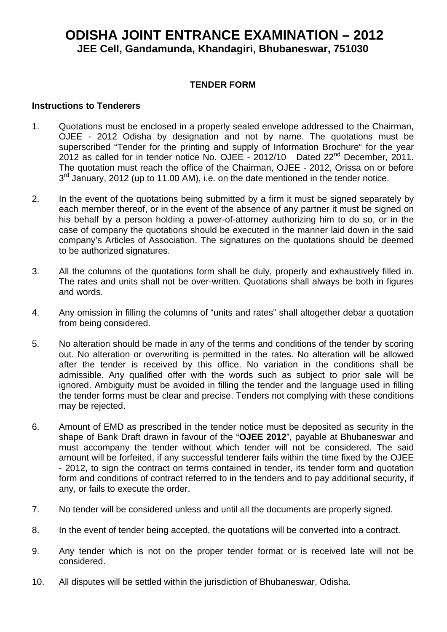### **TENDER FORM**

### **Instructions to Tenderers**

- 1. Quotations must be enclosed in a properly sealed envelope addressed to the Chairman, OJEE - 2012 Odisha by designation and not by name. The quotations must be superscribed "Tender for the printing and supply of Information Brochure" for the year 2012 as called for in tender notice No. OJEE - 2012/10 Dated 22nd December, 2011. The quotation must reach the office of the Chairman, OJEE - 2012, Orissa on or before  $3<sup>rd</sup>$  January, 2012 (up to 11.00 AM), i.e. on the date mentioned in the tender notice.
- 2. In the event of the quotations being submitted by a firm it must be signed separately by each member thereof, or in the event of the absence of any partner it must be signed on his behalf by a person holding a power-of-attorney authorizing him to do so, or in the case of company the quotations should be executed in the manner laid down in the said company's Articles of Association. The signatures on the quotations should be deemed to be authorized signatures.
- 3. All the columns of the quotations form shall be duly, properly and exhaustively filled in. The rates and units shall not be over-written. Quotations shall always be both in figures and words.
- 4. Any omission in filling the columns of "units and rates" shall altogether debar a quotation from being considered.
- 5. No alteration should be made in any of the terms and conditions of the tender by scoring out. No alteration or overwriting is permitted in the rates. No alteration will be allowed after the tender is received by this office. No variation in the conditions shall be admissible. Any qualified offer with the words such as subject to prior sale will be ignored. Ambiguity must be avoided in filling the tender and the language used in filling the tender forms must be clear and precise. Tenders not complying with these conditions may be rejected.
- 6. Amount of EMD as prescribed in the tender notice must be deposited as security in the shape of Bank Draft drawn in favour of the "**OJEE 2012**", payable at Bhubaneswar and must accompany the tender without which tender will not be considered. The said amount will be forfeited, if any successful tenderer fails within the time fixed by the OJEE - 2012, to sign the contract on terms contained in tender, its tender form and quotation form and conditions of contract referred to in the tenders and to pay additional security, if any, or fails to execute the order.
- 7. No tender will be considered unless and until all the documents are properly signed.
- 8. In the event of tender being accepted, the quotations will be converted into a contract.
- 9. Any tender which is not on the proper tender format or is received late will not be considered.
- 10. All disputes will be settled within the jurisdiction of Bhubaneswar, Odisha.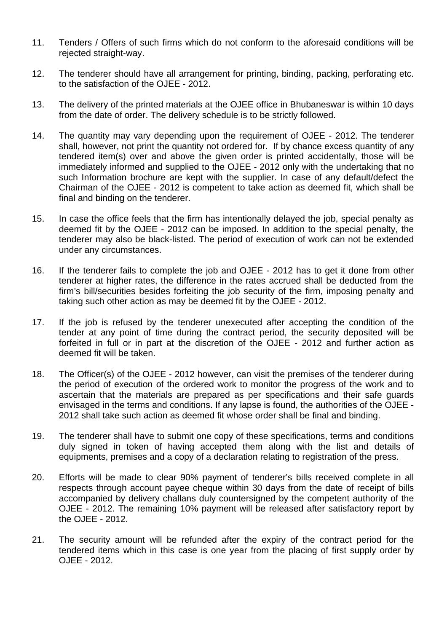- 11. Tenders / Offers of such firms which do not conform to the aforesaid conditions will be rejected straight-way.
- 12. The tenderer should have all arrangement for printing, binding, packing, perforating etc. to the satisfaction of the OJEE - 2012.
- 13. The delivery of the printed materials at the OJEE office in Bhubaneswar is within 10 days from the date of order. The delivery schedule is to be strictly followed.
- 14. The quantity may vary depending upon the requirement of OJEE 2012. The tenderer shall, however, not print the quantity not ordered for. If by chance excess quantity of any tendered item(s) over and above the given order is printed accidentally, those will be immediately informed and supplied to the OJEE - 2012 only with the undertaking that no such Information brochure are kept with the supplier. In case of any default/defect the Chairman of the OJEE - 2012 is competent to take action as deemed fit, which shall be final and binding on the tenderer.
- 15. In case the office feels that the firm has intentionally delayed the job, special penalty as deemed fit by the OJEE - 2012 can be imposed. In addition to the special penalty, the tenderer may also be black-listed. The period of execution of work can not be extended under any circumstances.
- 16. If the tenderer fails to complete the job and OJEE 2012 has to get it done from other tenderer at higher rates, the difference in the rates accrued shall be deducted from the firm's bill/securities besides forfeiting the job security of the firm, imposing penalty and taking such other action as may be deemed fit by the OJEE - 2012.
- 17. If the job is refused by the tenderer unexecuted after accepting the condition of the tender at any point of time during the contract period, the security deposited will be forfeited in full or in part at the discretion of the OJEE - 2012 and further action as deemed fit will be taken.
- 18. The Officer(s) of the OJEE 2012 however, can visit the premises of the tenderer during the period of execution of the ordered work to monitor the progress of the work and to ascertain that the materials are prepared as per specifications and their safe guards envisaged in the terms and conditions. If any lapse is found, the authorities of the OJEE - 2012 shall take such action as deemed fit whose order shall be final and binding.
- 19. The tenderer shall have to submit one copy of these specifications, terms and conditions duly signed in token of having accepted them along with the list and details of equipments, premises and a copy of a declaration relating to registration of the press.
- 20. Efforts will be made to clear 90% payment of tenderer's bills received complete in all respects through account payee cheque within 30 days from the date of receipt of bills accompanied by delivery challans duly countersigned by the competent authority of the OJEE - 2012. The remaining 10% payment will be released after satisfactory report by the OJEE - 2012.
- 21. The security amount will be refunded after the expiry of the contract period for the tendered items which in this case is one year from the placing of first supply order by OJEE - 2012.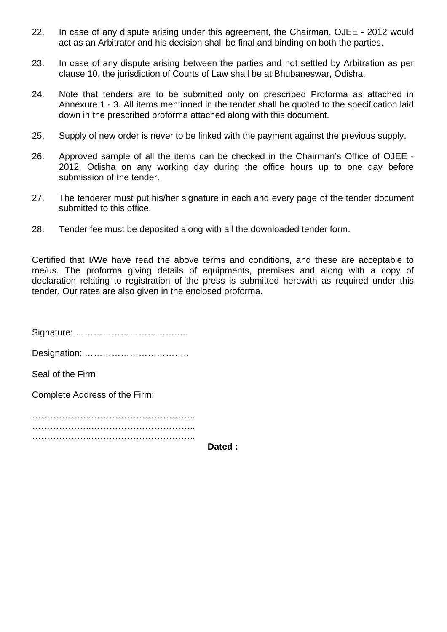- 22. In case of any dispute arising under this agreement, the Chairman, OJEE 2012 would act as an Arbitrator and his decision shall be final and binding on both the parties.
- 23. In case of any dispute arising between the parties and not settled by Arbitration as per clause 10, the jurisdiction of Courts of Law shall be at Bhubaneswar, Odisha.
- 24. Note that tenders are to be submitted only on prescribed Proforma as attached in Annexure 1 - 3. All items mentioned in the tender shall be quoted to the specification laid down in the prescribed proforma attached along with this document.
- 25. Supply of new order is never to be linked with the payment against the previous supply.
- 26. Approved sample of all the items can be checked in the Chairman's Office of OJEE 2012, Odisha on any working day during the office hours up to one day before submission of the tender.
- 27. The tenderer must put his/her signature in each and every page of the tender document submitted to this office.
- 28. Tender fee must be deposited along with all the downloaded tender form.

Certified that I/We have read the above terms and conditions, and these are acceptable to me/us. The proforma giving details of equipments, premises and along with a copy of declaration relating to registration of the press is submitted herewith as required under this tender. Our rates are also given in the enclosed proforma.

Signature: ……………………………..…

Designation: ……………………………..

Seal of the Firm

Complete Address of the Firm:

…………………………………………………………… …………………………………………………………………………… ………………..……………………………..

**Dated :**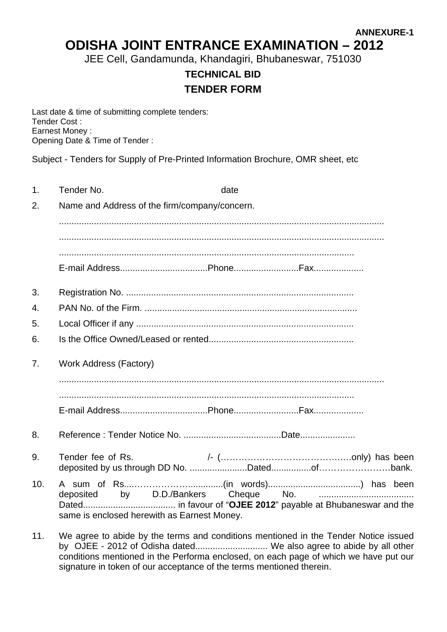**ANNEXURE-1** 

# **ODISHA JOINT ENTRANCE EXAMINATION – 2012**

JEE Cell, Gandamunda, Khandagiri, Bhubaneswar, 751030

# **TECHNICAL BID TENDER FORM**

Last date & time of submitting complete tenders: Tender Cost : Earnest Money : Opening Date & Time of Tender :

Subject - Tenders for Supply of Pre-Printed Information Brochure, OMR sheet, etc

| 1.              | Tender No.                                                                          | date                       |  |
|-----------------|-------------------------------------------------------------------------------------|----------------------------|--|
| 2.              | Name and Address of the firm/company/concern.                                       |                            |  |
|                 |                                                                                     |                            |  |
|                 |                                                                                     |                            |  |
|                 |                                                                                     |                            |  |
|                 |                                                                                     |                            |  |
| 3.              |                                                                                     |                            |  |
| 4.              |                                                                                     |                            |  |
| 5.              |                                                                                     |                            |  |
| 6.              |                                                                                     |                            |  |
| 7.              | <b>Work Address (Factory)</b>                                                       |                            |  |
|                 |                                                                                     |                            |  |
|                 |                                                                                     |                            |  |
| 8.              |                                                                                     |                            |  |
| 9.              | Tender fee of Rs.                                                                   |                            |  |
| 10.             | deposited<br>same is enclosed herewith as Earnest Money.                            | by D.D./Bankers Cheque No. |  |
| $\overline{11}$ | We cares to objde by the terms and conditions mentioned in the Tender Nation issued |                            |  |

11. We agree to abide by the terms and conditions mentioned in the Tender Notice issued by OJEE - 2012 of Odisha dated............................. We also agree to abide by all other conditions mentioned in the Performa enclosed, on each page of which we have put our signature in token of our acceptance of the terms mentioned therein.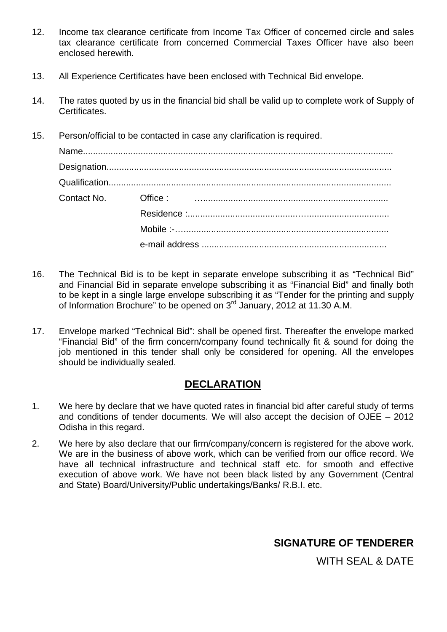- 12. Income tax clearance certificate from Income Tax Officer of concerned circle and sales tax clearance certificate from concerned Commercial Taxes Officer have also been enclosed herewith.
- 13. All Experience Certificates have been enclosed with Technical Bid envelope.
- 14. The rates quoted by us in the financial bid shall be valid up to complete work of Supply of Certificates.
- 15. Person/official to be contacted in case any clarification is required.

- 16. The Technical Bid is to be kept in separate envelope subscribing it as "Technical Bid" and Financial Bid in separate envelope subscribing it as "Financial Bid" and finally both to be kept in a single large envelope subscribing it as "Tender for the printing and supply of Information Brochure" to be opened on 3rd January, 2012 at 11.30 A.M.
- 17. Envelope marked "Technical Bid": shall be opened first. Thereafter the envelope marked "Financial Bid" of the firm concern/company found technically fit & sound for doing the job mentioned in this tender shall only be considered for opening. All the envelopes should be individually sealed.

### **DECLARATION**

- 1. We here by declare that we have quoted rates in financial bid after careful study of terms and conditions of tender documents. We will also accept the decision of OJEE – 2012 Odisha in this regard.
- 2. We here by also declare that our firm/company/concern is registered for the above work. We are in the business of above work, which can be verified from our office record. We have all technical infrastructure and technical staff etc. for smooth and effective execution of above work. We have not been black listed by any Government (Central and State) Board/University/Public undertakings/Banks/ R.B.I. etc.

# **SIGNATURE OF TENDERER**

WITH SEAL & DATE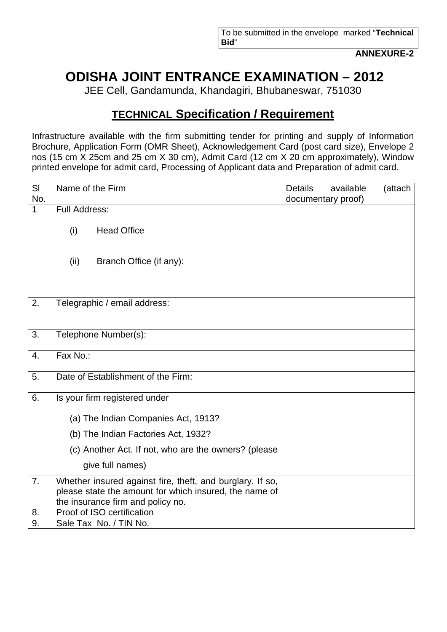**ANNEXURE-2** 

# **ODISHA JOINT ENTRANCE EXAMINATION – 2012**

JEE Cell, Gandamunda, Khandagiri, Bhubaneswar, 751030

# **TECHNICAL Specification / Requirement**

Infrastructure available with the firm submitting tender for printing and supply of Information Brochure, Application Form (OMR Sheet), Acknowledgement Card (post card size), Envelope 2 nos (15 cm X 25cm and 25 cm X 30 cm), Admit Card (12 cm X 20 cm approximately), Window printed envelope for admit card, Processing of Applicant data and Preparation of admit card.

| SI           | Name of the Firm                                                                                                                                         | <b>Details</b> | available          | (attach |
|--------------|----------------------------------------------------------------------------------------------------------------------------------------------------------|----------------|--------------------|---------|
| No.          |                                                                                                                                                          |                | documentary proof) |         |
| $\mathbf{1}$ | <b>Full Address:</b>                                                                                                                                     |                |                    |         |
|              | <b>Head Office</b><br>(i)                                                                                                                                |                |                    |         |
|              | (ii)<br>Branch Office (if any):                                                                                                                          |                |                    |         |
| 2.           | Telegraphic / email address:                                                                                                                             |                |                    |         |
|              |                                                                                                                                                          |                |                    |         |
| 3.           | Telephone Number(s):                                                                                                                                     |                |                    |         |
| 4.           | Fax No.:                                                                                                                                                 |                |                    |         |
| 5.           | Date of Establishment of the Firm:                                                                                                                       |                |                    |         |
| 6.           | Is your firm registered under                                                                                                                            |                |                    |         |
|              | (a) The Indian Companies Act, 1913?                                                                                                                      |                |                    |         |
|              | (b) The Indian Factories Act, 1932?                                                                                                                      |                |                    |         |
|              | (c) Another Act. If not, who are the owners? (please                                                                                                     |                |                    |         |
|              | give full names)                                                                                                                                         |                |                    |         |
| 7.           | Whether insured against fire, theft, and burglary. If so,<br>please state the amount for which insured, the name of<br>the insurance firm and policy no. |                |                    |         |
| 8.           | Proof of ISO certification                                                                                                                               |                |                    |         |
| 9.           | Sale Tax No. / TIN No.                                                                                                                                   |                |                    |         |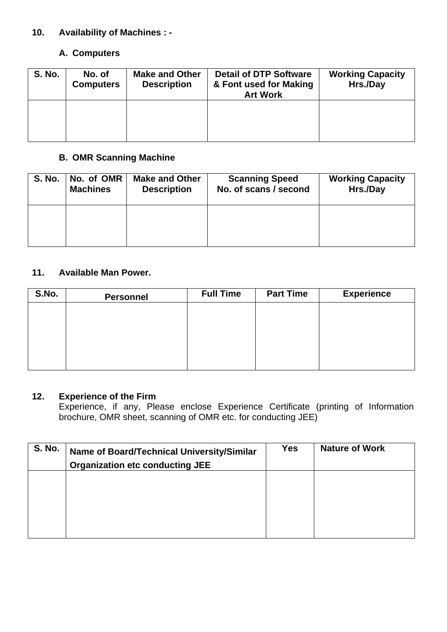### **10. Availability of Machines : -**

### **A. Computers**

| <b>S. No.</b> | No. of<br><b>Computers</b> | <b>Make and Other</b><br><b>Description</b> | <b>Detail of DTP Software</b><br>& Font used for Making<br><b>Art Work</b> | <b>Working Capacity</b><br>Hrs./Day |
|---------------|----------------------------|---------------------------------------------|----------------------------------------------------------------------------|-------------------------------------|
|               |                            |                                             |                                                                            |                                     |

### **B. OMR Scanning Machine**

| <b>S. No.</b> | No. of OMR      | <b>Make and Other</b> | <b>Scanning Speed</b> | <b>Working Capacity</b> |
|---------------|-----------------|-----------------------|-----------------------|-------------------------|
|               | <b>Machines</b> | <b>Description</b>    | No. of scans / second | Hrs./Day                |
|               |                 |                       |                       |                         |

### **11. Available Man Power.**

| S.No. | <b>Personnel</b> | <b>Full Time</b> | <b>Part Time</b> | <b>Experience</b> |
|-------|------------------|------------------|------------------|-------------------|
|       |                  |                  |                  |                   |
|       |                  |                  |                  |                   |
|       |                  |                  |                  |                   |
|       |                  |                  |                  |                   |
|       |                  |                  |                  |                   |

### **12. Experience of the Firm**

Experience, if any, Please enclose Experience Certificate (printing of Information brochure, OMR sheet, scanning of OMR etc. for conducting JEE)

| <b>S. No.</b> | Name of Board/Technical University/Similar<br><b>Organization etc conducting JEE</b> | <b>Yes</b> | <b>Nature of Work</b> |
|---------------|--------------------------------------------------------------------------------------|------------|-----------------------|
|               |                                                                                      |            |                       |
|               |                                                                                      |            |                       |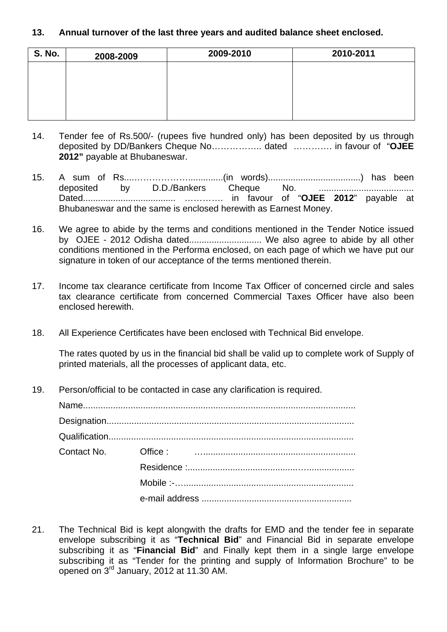### **13. Annual turnover of the last three years and audited balance sheet enclosed.**

| <b>S. No.</b> | 2008-2009 | 2009-2010 | 2010-2011 |
|---------------|-----------|-----------|-----------|
|               |           |           |           |
|               |           |           |           |
|               |           |           |           |
|               |           |           |           |

- 14. Tender fee of Rs.500/- (rupees five hundred only) has been deposited by us through deposited by DD/Bankers Cheque No…………….. dated …………. in favour of "**OJEE 2012"** payable at Bhubaneswar.
- 15. A sum of Rs....………………..............(in words).....................................) has been deposited by D.D./Bankers Cheque No. ...................................... Dated..................................... …………. in favour of "**OJEE 2012**" payable at Bhubaneswar and the same is enclosed herewith as Earnest Money.
- 16. We agree to abide by the terms and conditions mentioned in the Tender Notice issued by OJEE - 2012 Odisha dated............................. We also agree to abide by all other conditions mentioned in the Performa enclosed, on each page of which we have put our signature in token of our acceptance of the terms mentioned therein.
- 17. Income tax clearance certificate from Income Tax Officer of concerned circle and sales tax clearance certificate from concerned Commercial Taxes Officer have also been enclosed herewith.
- 18. All Experience Certificates have been enclosed with Technical Bid envelope.

The rates quoted by us in the financial bid shall be valid up to complete work of Supply of printed materials, all the processes of applicant data, etc.

19. Person/official to be contacted in case any clarification is required.

| Contact No. |  |
|-------------|--|
|             |  |
|             |  |
|             |  |

21. The Technical Bid is kept alongwith the drafts for EMD and the tender fee in separate envelope subscribing it as "**Technical Bid**" and Financial Bid in separate envelope subscribing it as "**Financial Bid**" and Finally kept them in a single large envelope subscribing it as "Tender for the printing and supply of Information Brochure" to be opened on 3rd January, 2012 at 11.30 AM.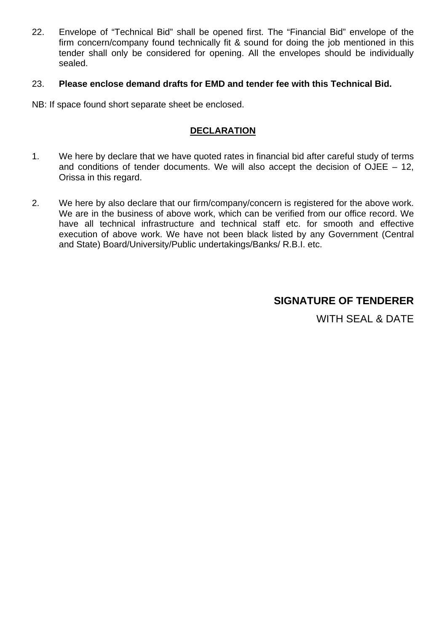22. Envelope of "Technical Bid" shall be opened first. The "Financial Bid" envelope of the firm concern/company found technically fit & sound for doing the job mentioned in this tender shall only be considered for opening. All the envelopes should be individually sealed.

### 23. **Please enclose demand drafts for EMD and tender fee with this Technical Bid.**

NB: If space found short separate sheet be enclosed.

### **DECLARATION**

- 1. We here by declare that we have quoted rates in financial bid after careful study of terms and conditions of tender documents. We will also accept the decision of OJEE  $-12$ , Orissa in this regard.
- 2. We here by also declare that our firm/company/concern is registered for the above work. We are in the business of above work, which can be verified from our office record. We have all technical infrastructure and technical staff etc. for smooth and effective execution of above work. We have not been black listed by any Government (Central and State) Board/University/Public undertakings/Banks/ R.B.I. etc.

### **SIGNATURE OF TENDERER**

WITH SEAL & DATE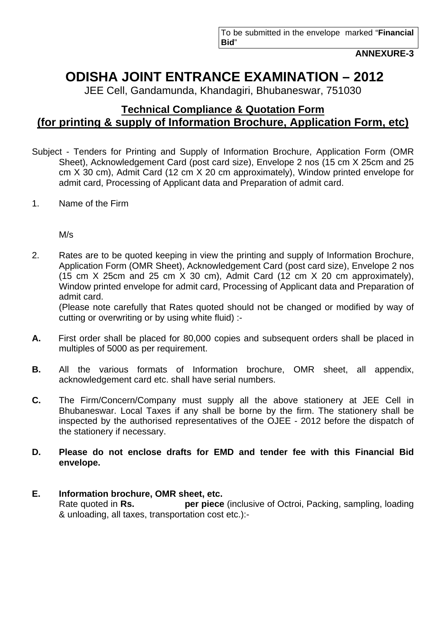**ANNEXURE-3** 

# **ODISHA JOINT ENTRANCE EXAMINATION – 2012**

JEE Cell, Gandamunda, Khandagiri, Bhubaneswar, 751030

# **Technical Compliance & Quotation Form (for printing & supply of Information Brochure, Application Form, etc)**

- Subject Tenders for Printing and Supply of Information Brochure, Application Form (OMR Sheet), Acknowledgement Card (post card size), Envelope 2 nos (15 cm X 25cm and 25 cm X 30 cm), Admit Card (12 cm X 20 cm approximately), Window printed envelope for admit card, Processing of Applicant data and Preparation of admit card.
- 1. Name of the Firm

M/s

2. Rates are to be quoted keeping in view the printing and supply of Information Brochure, Application Form (OMR Sheet), Acknowledgement Card (post card size), Envelope 2 nos (15 cm X 25cm and 25 cm X 30 cm), Admit Card (12 cm X 20 cm approximately), Window printed envelope for admit card, Processing of Applicant data and Preparation of admit card.

 (Please note carefully that Rates quoted should not be changed or modified by way of cutting or overwriting or by using white fluid) :-

- **A.** First order shall be placed for 80,000 copies and subsequent orders shall be placed in multiples of 5000 as per requirement.
- **B.** All the various formats of Information brochure, OMR sheet, all appendix, acknowledgement card etc. shall have serial numbers.
- **C.** The Firm/Concern/Company must supply all the above stationery at JEE Cell in Bhubaneswar. Local Taxes if any shall be borne by the firm. The stationery shall be inspected by the authorised representatives of the OJEE - 2012 before the dispatch of the stationery if necessary.
- **D. Please do not enclose drafts for EMD and tender fee with this Financial Bid envelope.**

### **E. Information brochure, OMR sheet, etc.**

 Rate quoted in **Rs. per piece** (inclusive of Octroi, Packing, sampling, loading & unloading, all taxes, transportation cost etc.):-